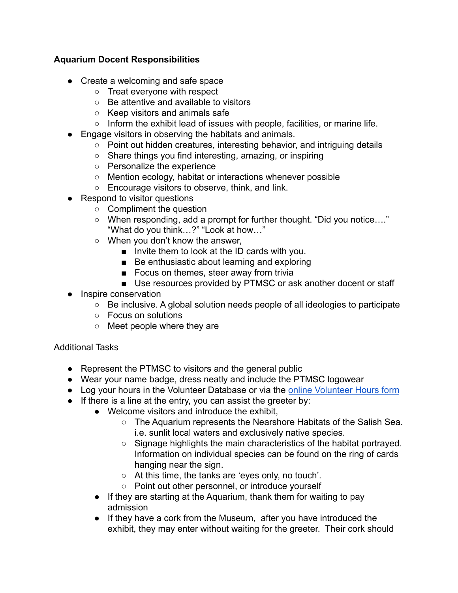## **Aquarium Docent Responsibilities**

- Create a welcoming and safe space
	- Treat everyone with respect
	- Be attentive and available to visitors
	- Keep visitors and animals safe
	- Inform the exhibit lead of issues with people, facilities, or marine life.
- Engage visitors in observing the habitats and animals.
	- Point out hidden creatures, interesting behavior, and intriguing details
	- Share things you find interesting, amazing, or inspiring
	- Personalize the experience
	- Mention ecology, habitat or interactions whenever possible
	- Encourage visitors to observe, think, and link.
- Respond to visitor questions
	- Compliment the question
	- When responding, add a prompt for further thought. "Did you notice…." "What do you think…?" "Look at how…"
	- When you don't know the answer,
		- Invite them to look at the ID cards with you.
		- Be enthusiastic about learning and exploring
		- Focus on themes, steer away from trivia
		- Use resources provided by PTMSC or ask another docent or staff
- Inspire conservation
	- Be inclusive. A global solution needs people of all ideologies to participate
	- Focus on solutions
	- Meet people where they are

## Additional Tasks

- Represent the PTMSC to visitors and the general public
- Wear your name badge, dress neatly and include the PTMSC logowear
- Log your hours in the Volunteer Database or via the [online Volunteer Hours form](https://docs.google.com/forms/d/e/1FAIpQLSePLvvd85o70TMIEmIjjdcyY12Uk1Wm8RuWH-WemYZW-_t-TA/viewform)
- If there is a line at the entry, you can assist the greeter by:
	- Welcome visitors and introduce the exhibit,
		- The Aquarium represents the Nearshore Habitats of the Salish Sea. i.e. sunlit local waters and exclusively native species.
		- Signage highlights the main characteristics of the habitat portrayed. Information on individual species can be found on the ring of cards hanging near the sign.
		- At this time, the tanks are 'eyes only, no touch'.
		- Point out other personnel, or introduce yourself
	- If they are starting at the Aquarium, thank them for waiting to pay admission
	- If they have a cork from the Museum, after you have introduced the exhibit, they may enter without waiting for the greeter. Their cork should